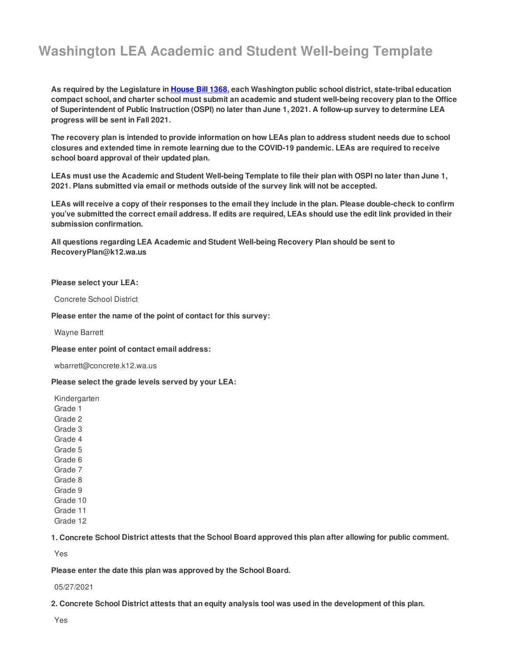# **Washington LEA Academic and Student Well-being Template**

As required by the Legislature in <u>[House](http://lawfilesext.leg.wa.gov/biennium/2021-22/Pdf/Bills/Session Laws/House/1368-S.SL.pdf?q=20210412090514) Bill 1368,</u> each Washington public school district, state-tribal education compact school, and charter school must submit an academic and student well-being recovery plan to the Office of Superintendent of Public Instruction (OSPI) no later than June 1, 2021. A follow-up survey to determine LEA  **progress will be sent in Fall 2021.**

The recovery plan is intended to provide information on how LEAs plan to address student needs due to school closures and extended time in remote learning due to the COVID-19 pandemic. LEAs are required to receive  **school board approval of their updated plan.**

LEAs must use the Academic and Student Well-being Template to file their plan with OSPI no later than June 1,  **2021. Plans submitted via email or methods outside of the survey link will not be accepted.**

LEAs will receive a copy of their responses to the email they include in the plan. Please double-check to confirm you've submitted the correct email address. If edits are required, LEAs should use the edit link provided in their  **submission confirmation.**

 **All questions regarding LEA Academic and Student Well-being Recovery Plan should be sent to [RecoveryPlan@k12.wa.us](mailto:RecoveryPlan@k12.wa.us)**

#### **Please select your LEA:**

Concrete School District

 **Please enter the name of the point of contact for this survey:**

Wayne Barrett

 **Please enter point of contact email address:**

[wbarrett@concrete.k12.wa.us](mailto:wbarrett@concrete.k12.wa.us)

 **Please select the grade levels served by your LEA:**

Kindergarten Grade 1 Grade 2 Grade 3 Grade 4 Grade 5 Grade 6 Grade 7 Grade 8 Grade 9 Grade 10 Grade 11 Grade 12

1. Concrete School District attests that the School Board approved this plan after allowing for public comment.

Yes

 **Please enter the date this plan was approved by the School Board.**

#### 05/27/2021

2. Concrete School District attests that an equity analysis tool was used in the development of this plan.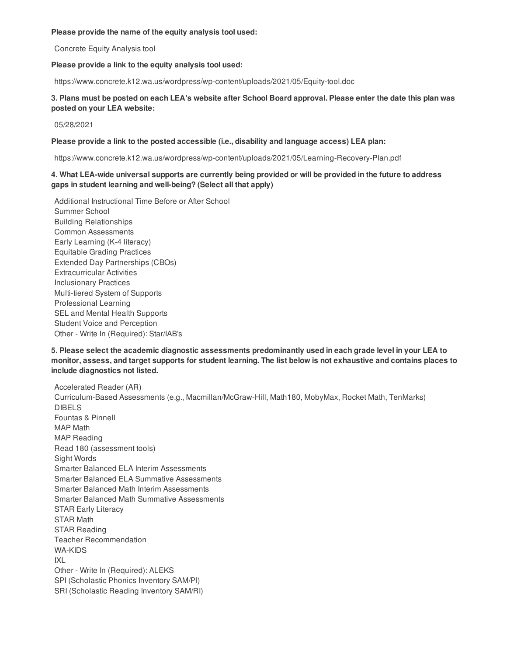#### **Please provide the name of the equity analysis tool used:**

Concrete Equity Analysis tool

#### **Please provide a link to the equity analysis tool used:**

<https://www.concrete.k12.wa.us/wordpress/wp-content/uploads/2021/05/Equity-tool.doc>

## 3. Plans must be posted on each LEA's website after School Board approval. Please enter the date this plan was  **posted on your LEA website:**

05/28/2021

## **Please provide a link to the posted accessible (i.e., disability and language access) LEA plan:**

<https://www.concrete.k12.wa.us/wordpress/wp-content/uploads/2021/05/Learning-Recovery-Plan.pdf>

## 4. What LEA-wide universal supports are currently being provided or will be provided in the future to address  **gaps in student learning and well-being? (Select all that apply)**

 Additional Instructional Time Before or After School Early Learning (K-4 literacy) Equitable Grading Practices Extended Day Partnerships (CBOs) Multi-tiered System of Supports SEL and Mental Health Supports Student Voice and Perception Other - Write In (Required): Star/IAB's Summer School Building Relationships Common Assessments Extracurricular Activities Inclusionary Practices Professional Learning

## 5. Please select the academic diagnostic assessments predominantly used in each grade level in your LEA to monitor, assess, and target supports for student learning. The list below is not exhaustive and contains places to  **include diagnostics not listed.**

 Accelerated Reader (AR) Curriculum-Based Assessments (e.g., Macmillan/McGraw-Hill, Math180, MobyMax, Rocket Math, TenMarks) Fountas & Pinnell Read 180 (assessment tools) Smarter Balanced ELA Interim Assessments Smarter Balanced ELA Summative Assessments Smarter Balanced Math Interim Assessments Smarter Balanced Math Summative Assessments STAR Early Literacy Other - Write In (Required): ALEKS SPI (Scholastic Phonics Inventory SAM/PI) SRI (Scholastic Reading Inventory SAM/RI) DIBELS MAP Math MAP Reading Sight Words STAR Math STAR Reading Teacher Recommendation WA-KIDS IXL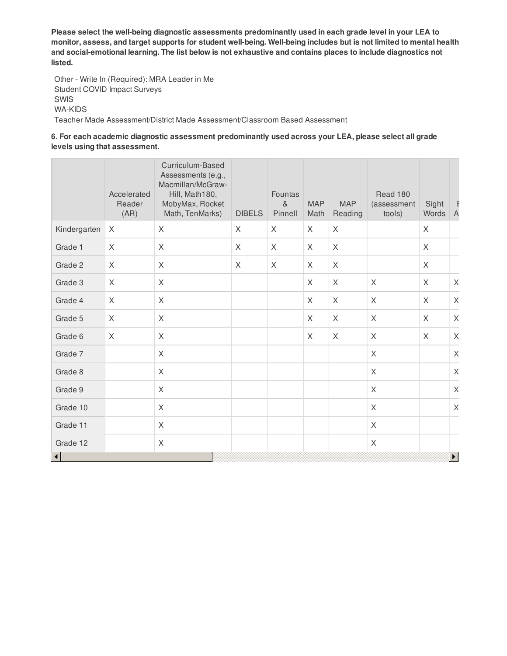Please select the well-being diagnostic assessments predominantly used in each grade level in your LEA to monitor, assess, and target supports for student well-being. Well-being includes but is not limited to mental health and social-emotional learning. The list below is not exhaustive and contains places to include diagnostics not **listed.**

 Other - Write In (Required): MRA Leader in Me Student COVID Impact Surveys Teacher Made Assessment/District Made Assessment/Classroom Based Assessment SWIS WA-KIDS

## **6. For each academic diagnostic assessment predominantly used across your LEA, please select all grade levels using that assessment.**

|                | Accelerated<br>Reader<br>(AR) | Curriculum-Based<br>Assessments (e.g.,<br>Macmillan/McGraw-<br>Hill, Math180,<br>MobyMax, Rocket<br>Math, TenMarks) | <b>DIBELS</b> | Fountas<br>8 <sub>1</sub><br>Pinnell | <b>MAP</b><br>Math | <b>MAP</b><br>Reading | Read 180<br>(assessment<br>tools) | Sight<br>Words | Ŀ<br>$\overline{A}$ |
|----------------|-------------------------------|---------------------------------------------------------------------------------------------------------------------|---------------|--------------------------------------|--------------------|-----------------------|-----------------------------------|----------------|---------------------|
| Kindergarten   | X                             | X                                                                                                                   | X             | X                                    | $\mathsf{X}$       | X                     |                                   | X              |                     |
| Grade 1        | X                             | X                                                                                                                   | X             | $\times$                             | X                  | X                     |                                   | X              |                     |
| Grade 2        | $\times$                      | X                                                                                                                   | X             | X                                    | $\times$           | X                     |                                   | X              |                     |
| Grade 3        | X                             | X                                                                                                                   |               |                                      | X                  | X                     | $\times$                          | X              | $\mathsf X$         |
| Grade 4        | X                             | X                                                                                                                   |               |                                      | X                  | X                     | X                                 | X              | $\mathsf X$         |
| Grade 5        | X                             | X                                                                                                                   |               |                                      | X                  | X                     | X                                 | X              | X                   |
| Grade 6        | $\mathsf{X}$                  | X                                                                                                                   |               |                                      | X                  | $\sf X$               | X                                 | X              | $\mathsf{X}$        |
| Grade 7        |                               | X                                                                                                                   |               |                                      |                    |                       | $\sf X$                           |                | $\mathsf X$         |
| Grade 8        |                               | X                                                                                                                   |               |                                      |                    |                       | $\times$                          |                | X                   |
| Grade 9        |                               | X                                                                                                                   |               |                                      |                    |                       | X                                 |                | $\mathsf X$         |
| Grade 10       |                               | X                                                                                                                   |               |                                      |                    |                       | $\mathsf X$                       |                | $\mathsf X$         |
| Grade 11       |                               | X                                                                                                                   |               |                                      |                    |                       | $\sf X$                           |                |                     |
| Grade 12       |                               | X                                                                                                                   |               |                                      |                    |                       | $\mathsf X$                       |                |                     |
| $\blacksquare$ |                               |                                                                                                                     |               |                                      |                    |                       |                                   |                | Þ.                  |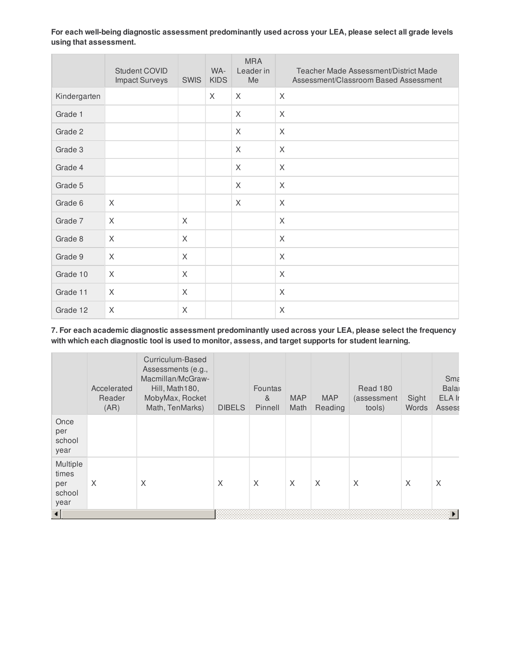**For each well-being diagnostic assessment predominantly used across your LEA, please select all grade levels using that assessment.**

|              | Student COVID<br><b>Impact Surveys</b> | <b>SWIS</b> | WA-<br><b>KIDS</b> | <b>MRA</b><br>Leader in<br>Me | Teacher Made Assessment/District Made<br>Assessment/Classroom Based Assessment |
|--------------|----------------------------------------|-------------|--------------------|-------------------------------|--------------------------------------------------------------------------------|
| Kindergarten |                                        |             | $\times$           | $\times$                      | X                                                                              |
| Grade 1      |                                        |             |                    | X                             | X                                                                              |
| Grade 2      |                                        |             |                    | X                             | X                                                                              |
| Grade 3      |                                        |             |                    | X                             | X                                                                              |
| Grade 4      |                                        |             |                    | X                             | X                                                                              |
| Grade 5      |                                        |             |                    | X                             | X                                                                              |
| Grade 6      | $\sf X$                                |             |                    | X                             | X                                                                              |
| Grade 7      | X                                      | X           |                    |                               | X                                                                              |
| Grade 8      | $\sf X$                                | X           |                    |                               | X                                                                              |
| Grade 9      | X                                      | X           |                    |                               | X                                                                              |
| Grade 10     | X                                      | X           |                    |                               | X                                                                              |
| Grade 11     | X                                      | X           |                    |                               | X                                                                              |
| Grade 12     | X                                      | X           |                    |                               | X                                                                              |

 **7. For each academic diagnostic assessment predominantly used across your LEA, please select the frequency with which each diagnostic tool is used to monitor, assess, and target supports for student learning.**

|                                            | Accelerated<br>Reader<br>(AR) | Curriculum-Based<br>Assessments (e.g.,<br>Macmillan/McGraw-<br>Hill, Math180,<br>MobyMax, Rocket<br>Math, TenMarks) | <b>DIBELS</b> | Fountas<br>&<br>Pinnell | <b>MAP</b><br>Math | <b>MAP</b><br>Reading | Read 180<br>(assessment<br>tools) | Sight<br>Words | <b>Smε</b><br>Bala<br>ELA Ir<br><b>Assess</b> |  |  |  |
|--------------------------------------------|-------------------------------|---------------------------------------------------------------------------------------------------------------------|---------------|-------------------------|--------------------|-----------------------|-----------------------------------|----------------|-----------------------------------------------|--|--|--|
| Once<br>per<br>school<br>year              |                               |                                                                                                                     |               |                         |                    |                       |                                   |                |                                               |  |  |  |
| Multiple<br>times<br>per<br>school<br>year | X                             | X                                                                                                                   | X             | X                       | X                  | X                     | X                                 | X              | X                                             |  |  |  |
|                                            |                               |                                                                                                                     |               | ▶                       |                    |                       |                                   |                |                                               |  |  |  |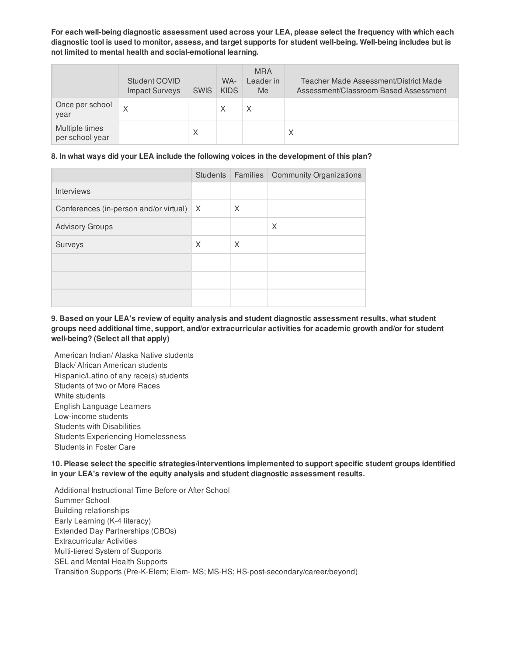For each well-being diagnostic assessment used across your LEA, please select the frequency with which each diagnostic tool is used to monitor, assess, and target supports for student well-being. Well-being includes but is  **not limited to mental health and social-emotional learning.**

|                                   | Student COVID<br><b>Impact Surveys</b> | <b>SWIS</b> | WA-<br><b>KIDS</b> | <b>MRA</b><br>Leader in<br>Me | Teacher Made Assessment/District Made<br>Assessment/Classroom Based Assessment |
|-----------------------------------|----------------------------------------|-------------|--------------------|-------------------------------|--------------------------------------------------------------------------------|
| Once per school<br>year           | X                                      |             | Χ                  | Χ                             |                                                                                |
| Multiple times<br>per school year |                                        | Χ           |                    |                               | Χ                                                                              |

#### **8. In what ways did your LEA include the following voices in the development of this plan?**

|                                        |                         |          | Students   Families   Community Organizations |
|----------------------------------------|-------------------------|----------|-----------------------------------------------|
| <b>Interviews</b>                      |                         |          |                                               |
| Conferences (in-person and/or virtual) | $\mathsf{I} \mathsf{X}$ | $\times$ |                                               |
| <b>Advisory Groups</b>                 |                         |          | X                                             |
| Surveys                                | X                       | X        |                                               |
|                                        |                         |          |                                               |
|                                        |                         |          |                                               |
|                                        |                         |          |                                               |

9. Based on your LEA's review of equity analysis and student diagnostic assessment results, what student  **groups need additional time, support, and/or extracurricular activities for academic growth and/or for student well-being? (Select all that apply)**

 American Indian/ Alaska Native students Black/ African American students Hispanic/Latino of any race(s) students Students of two or More Races English Language Learners Students with Disabilities Students in Foster Care White students Low-income students Students Experiencing Homelessness

 **10. Please select the specific strategies/interventions implemented to support specific student groups identified in your LEA's review of the equity analysis and student diagnostic assessment results.**

 Additional Instructional Time Before or After School Early Learning (K-4 literacy) Extended Day Partnerships (CBOs) Multi-tiered System of Supports SEL and Mental Health Supports Transition Supports (Pre-K-Elem; Elem- MS; MS-HS; HS-post-secondary/career/beyond)Summer School Building relationships Extracurricular Activities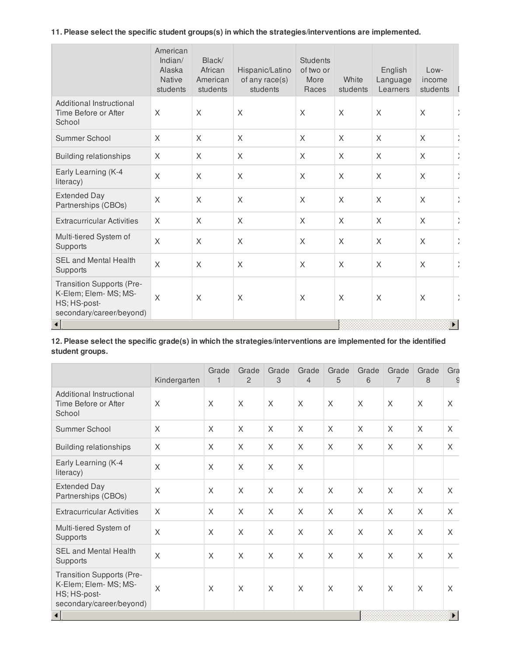**11. Please select the specific student groups(s) in which the strategies/interventions are implemented.**

|                                                                                                | American<br>Indian/<br>Alaska<br><b>Native</b><br>students | Black/<br>African<br>American<br>students | Hispanic/Latino<br>of any race(s)<br>students | <b>Students</b><br>of two or<br>More<br>Races | White<br>students | English<br>Language<br>Learners | Low-<br>income<br>students |                             |
|------------------------------------------------------------------------------------------------|------------------------------------------------------------|-------------------------------------------|-----------------------------------------------|-----------------------------------------------|-------------------|---------------------------------|----------------------------|-----------------------------|
| Additional Instructional<br>Time Before or After<br>School                                     | X                                                          | X                                         | X                                             | X                                             | X                 | $\times$                        | $\chi$                     | ÷                           |
| Summer School                                                                                  | X                                                          | X                                         | X                                             | X                                             | X                 | $\sf X$                         | $\sf X$                    | J,                          |
| <b>Building relationships</b>                                                                  | X                                                          | X                                         | X                                             | X                                             | X                 | X                               | $\times$                   | $\mathcal{L}_{\mathcal{A}}$ |
| Early Learning (K-4<br>literacy)                                                               | X                                                          | X                                         | $\sf X$                                       | $\times$                                      | X                 | $\times$                        | $\sf X$                    | ÷                           |
| <b>Extended Day</b><br>Partnerships (CBOs)                                                     | X                                                          | $\times$                                  | X                                             | $\times$                                      | $\times$          | $\times$                        | $\times$                   | $\frac{1}{2}$               |
| <b>Extracurricular Activities</b>                                                              | X                                                          | X                                         | X                                             | X                                             | X                 | $\times$                        | $\times$                   | ÷,                          |
| Multi-tiered System of<br>Supports                                                             | X                                                          | X                                         | X                                             | X                                             | X                 | $\times$                        | $\times$                   | ÷                           |
| <b>SEL and Mental Health</b><br>Supports                                                       | $\sf X$                                                    | X                                         | X                                             | X                                             | X                 | $\times$                        | $\times$                   | ÷                           |
| Transition Supports (Pre-<br>K-Elem; Elem- MS; MS-<br>HS; HS-post-<br>secondary/career/beyond) | X                                                          | X                                         | X                                             | X                                             | X                 | X                               | X                          | $\frac{1}{2}$               |
|                                                                                                |                                                            |                                           |                                               |                                               |                   |                                 |                            |                             |

12. Please select the specific grade(s) in which the strategies/interventions are implemented for the identified **student groups.**

|                                                                                                | Kindergarten            | Grade<br>1 | Grade<br>2 | Grade<br>3 | Grade<br>$\overline{4}$ | Grade<br>5   | Grade<br>6 | Grade<br>7 | Grade<br>8 | Gra<br>$\epsilon$ |
|------------------------------------------------------------------------------------------------|-------------------------|------------|------------|------------|-------------------------|--------------|------------|------------|------------|-------------------|
| Additional Instructional<br>Time Before or After<br>School                                     | X                       | X          | X          | X          | $\chi$                  | $\times$     | X          | X          | $\times$   | X                 |
| Summer School                                                                                  | $\times$                | X          | X          | X          | X                       | X            | $\times$   | X          | X          | X                 |
| <b>Building relationships</b>                                                                  | X                       | X          | X          | X          | X                       | $\mathsf{X}$ | X          | X          | X          | $\chi$            |
| Early Learning (K-4<br>literacy)                                                               | $\sf X$                 | X          | X          | X          | $\times$                |              |            |            |            |                   |
| <b>Extended Day</b><br>Partnerships (CBOs)                                                     | $\times$                | $\times$   | X          | X          | $\times$                | $\times$     | $\times$   | X          | $\times$   | X                 |
| <b>Extracurricular Activities</b>                                                              | $\times$                | $\times$   | X          | X          | $\times$                | X            | X          | X          | X          | X                 |
| Multi-tiered System of<br>Supports                                                             | $\times$                | $\times$   | X          | X          | $\times$                | $\times$     | $\times$   | X          | $\times$   | X                 |
| <b>SEL and Mental Health</b><br>Supports                                                       | $\overline{X}$          | X          | X          | X          | X                       | X            | X          | X          | X          | X                 |
| Transition Supports (Pre-<br>K-Elem; Elem- MS; MS-<br>HS; HS-post-<br>secondary/career/beyond) | $\overline{\mathsf{X}}$ | X          | X          | X          | X                       | X            | X          | X          | X          | X                 |
| k                                                                                              |                         |            |            |            |                         |              |            |            |            |                   |